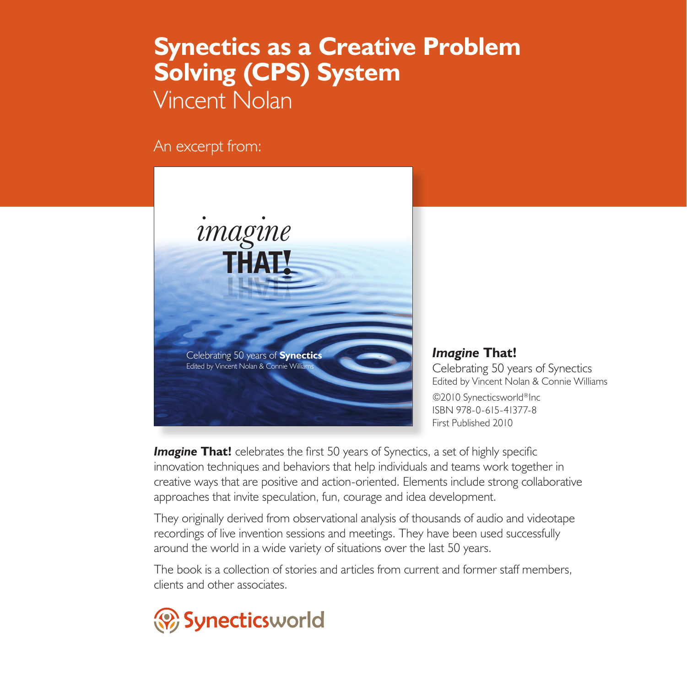## **Synectics as a Creative Problem Solving (CPS) System** Vincent Nolan

An excerpt from:

Edited by Vincent Nolan & Connie Williams *imagine***THAT**!



*Imagine* **That!** Celebrating 50 years of Synectics Edited by Vincent Nolan & Connie Williams ©2010 Synecticsworld®Inc ISBN 978-0-615-41377-8 First Published 2010

**Imagine That!** celebrates the first 50 years of Synectics, a set of highly specific innovation techniques and behaviors that help individuals and teams work together in creative ways that are positive and action-oriented. Elements include strong collaborative approaches that invite speculation, fun, courage and idea development.

They originally derived from observational analysis of thousands of audio and videotape recordings of live invention sessions and meetings. They have been used successfully around the world in a wide variety of situations over the last 50 years.

The book is a collection of stories and articles from current and former staff members, clients and other associates.

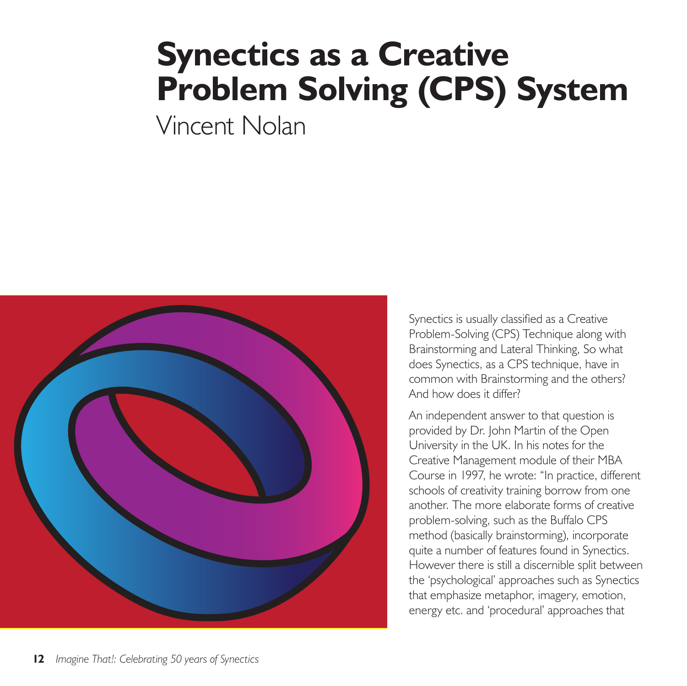## **Synectics as a Creative Problem Solving (CPS) System**

Vincent Nolan



Synectics is usually classified as a Creative Problem-Solving (CPS) Technique along with Brainstorming and Lateral Thinking, So what does Synectics, as a CPS technique, have in common with Brainstorming and the others? And how does it differ?

An independent answer to that question is provided by Dr. John Martin of the Open University in the UK. In his notes for the Creative Management module of their MBA Course in 1997, he wrote: "In practice, different schools of creativity training borrow from one another. The more elaborate forms of creative problem-solving, such as the Buffalo CPS method (basically brainstorming), incorporate quite a number of features found in Synectics. However there is still a discernible split between the 'psychological' approaches such as Synectics that emphasize metaphor, imagery, emotion, energy etc. and 'procedural' approaches that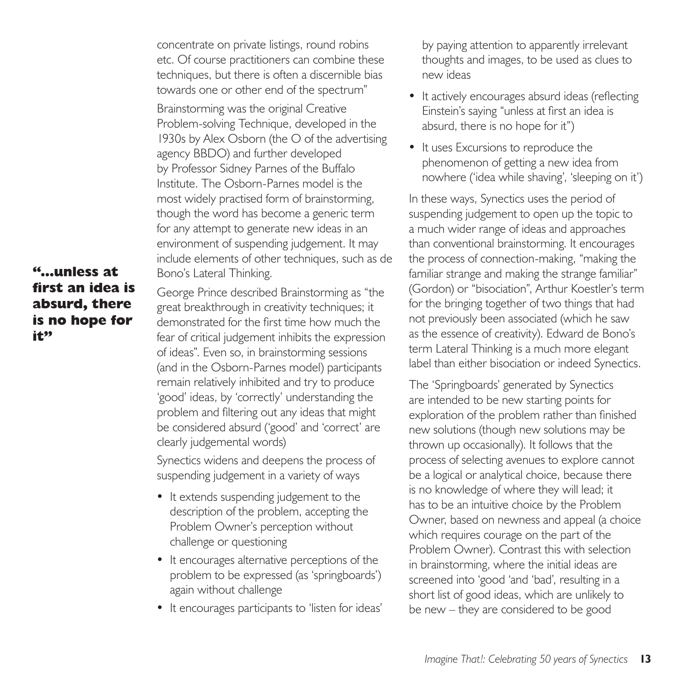concentrate on private listings, round robins etc. Of course practitioners can combine these techniques, but there is often a discernible bias towards one or other end of the spectrum"

Brainstorming was the original Creative Problem-solving Technique, developed in the 1930s by Alex Osborn (the O of the advertising agency BBDO) and further developed by Professor Sidney Parnes of the Buffalo Institute. The Osborn-Parnes model is the most widely practised form of brainstorming, though the word has become a generic term for any attempt to generate new ideas in an environment of suspending judgement. It may include elements of other techniques, such as de Bono's Lateral Thinking.

**"...unless at first an idea is absurd, there is no hope for it"**

George Prince described Brainstorming as "the great breakthrough in creativity techniques; it demonstrated for the first time how much the fear of critical judgement inhibits the expression of ideas". Even so, in brainstorming sessions (and in the Osborn-Parnes model) participants remain relatively inhibited and try to produce 'good' ideas, by 'correctly' understanding the problem and filtering out any ideas that might be considered absurd ('good' and 'correct' are clearly judgemental words)

Synectics widens and deepens the process of suspending judgement in a variety of ways

- It extends suspending judgement to the description of the problem, accepting the Problem Owner's perception without challenge or questioning
- It encourages alternative perceptions of the problem to be expressed (as 'springboards') again without challenge
- It encourages participants to 'listen for ideas'

by paying attention to apparently irrelevant thoughts and images, to be used as clues to new ideas

- It actively encourages absurd ideas (reflecting Einstein's saying "unless at first an idea is absurd, there is no hope for it")
- It uses Excursions to reproduce the phenomenon of getting a new idea from nowhere ('idea while shaving', 'sleeping on it')

In these ways, Synectics uses the period of suspending judgement to open up the topic to a much wider range of ideas and approaches than conventional brainstorming. It encourages the process of connection-making, "making the familiar strange and making the strange familiar" (Gordon) or "bisociation", Arthur Koestler's term for the bringing together of two things that had not previously been associated (which he saw as the essence of creativity). Edward de Bono's term Lateral Thinking is a much more elegant label than either bisociation or indeed Synectics.

The 'Springboards' generated by Synectics are intended to be new starting points for exploration of the problem rather than finished new solutions (though new solutions may be thrown up occasionally). It follows that the process of selecting avenues to explore cannot be a logical or analytical choice, because there is no knowledge of where they will lead; it has to be an intuitive choice by the Problem Owner, based on newness and appeal (a choice which requires courage on the part of the Problem Owner). Contrast this with selection in brainstorming, where the initial ideas are screened into 'good 'and 'bad', resulting in a short list of good ideas, which are unlikely to be new – they are considered to be good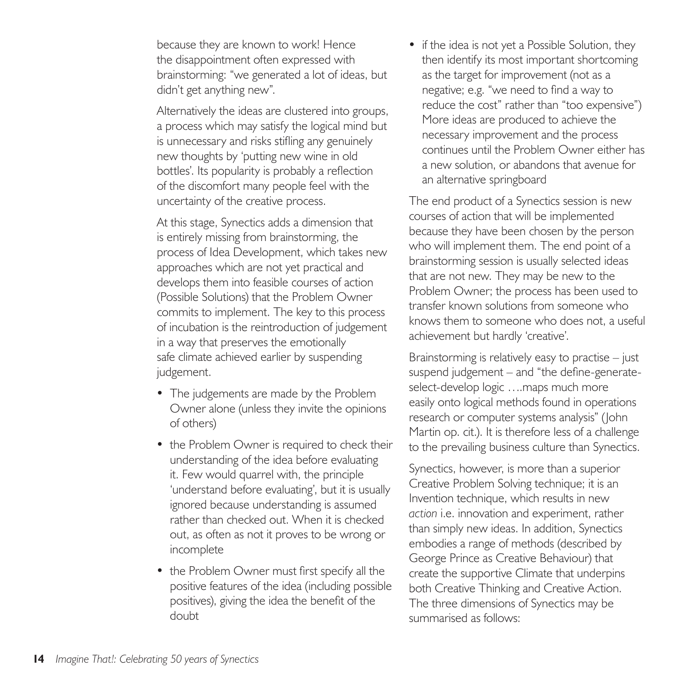because they are known to work! Hence the disappointment often expressed with brainstorming: "we generated a lot of ideas, but didn't get anything new".

Alternatively the ideas are clustered into groups, a process which may satisfy the logical mind but is unnecessary and risks stifling any genuinely new thoughts by 'putting new wine in old bottles'. Its popularity is probably a reflection of the discomfort many people feel with the uncertainty of the creative process.

At this stage, Synectics adds a dimension that is entirely missing from brainstorming, the process of Idea Development, which takes new approaches which are not yet practical and develops them into feasible courses of action (Possible Solutions) that the Problem Owner commits to implement. The key to this process of incubation is the reintroduction of judgement in a way that preserves the emotionally safe climate achieved earlier by suspending judgement.

- The judgements are made by the Problem Owner alone (unless they invite the opinions of others)
- the Problem Owner is required to check their understanding of the idea before evaluating it. Few would quarrel with, the principle 'understand before evaluating', but it is usually ignored because understanding is assumed rather than checked out. When it is checked out, as often as not it proves to be wrong or incomplete
- the Problem Owner must first specify all the positive features of the idea (including possible positives), giving the idea the benefit of the doubt

• if the idea is not yet a Possible Solution, they then identify its most important shortcoming as the target for improvement (not as a negative; e.g. "we need to find a way to reduce the cost" rather than "too expensive") More ideas are produced to achieve the necessary improvement and the process continues until the Problem Owner either has a new solution, or abandons that avenue for an alternative springboard

The end product of a Synectics session is new courses of action that will be implemented because they have been chosen by the person who will implement them. The end point of a brainstorming session is usually selected ideas that are not new. They may be new to the Problem Owner; the process has been used to transfer known solutions from someone who knows them to someone who does not, a useful achievement but hardly 'creative'.

Brainstorming is relatively easy to practise – just suspend judgement – and "the define-generateselect-develop logic ....maps much more easily onto logical methods found in operations research or computer systems analysis" (John Martin op. cit.). It is therefore less of a challenge to the prevailing business culture than Synectics.

Synectics, however, is more than a superior Creative Problem Solving technique; it is an Invention technique, which results in new *action* i.e. innovation and experiment, rather than simply new ideas. In addition, Synectics embodies a range of methods (described by George Prince as Creative Behaviour) that create the supportive Climate that underpins both Creative Thinking and Creative Action. The three dimensions of Synectics may be summarised as follows: